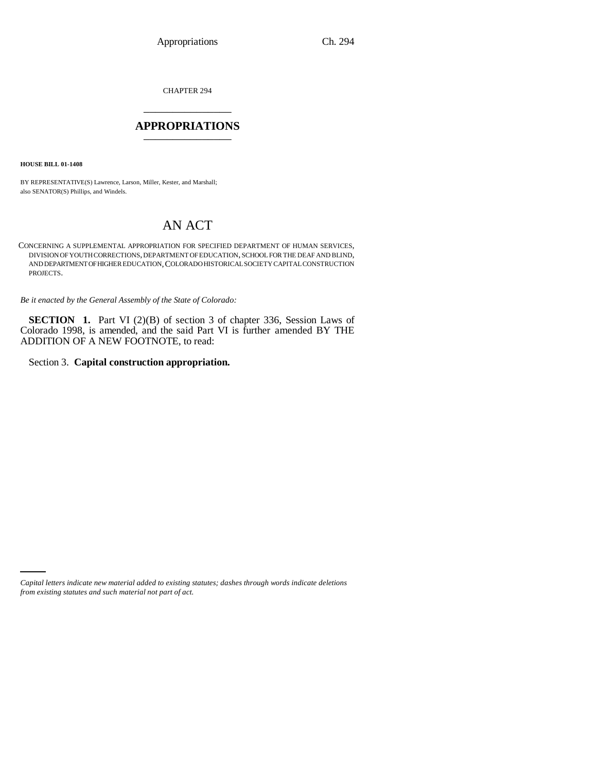CHAPTER 294 \_\_\_\_\_\_\_\_\_\_\_\_\_\_\_

### **APPROPRIATIONS** \_\_\_\_\_\_\_\_\_\_\_\_\_\_\_

**HOUSE BILL 01-1408**

BY REPRESENTATIVE(S) Lawrence, Larson, Miller, Kester, and Marshall; also SENATOR(S) Phillips, and Windels.

# AN ACT

CONCERNING A SUPPLEMENTAL APPROPRIATION FOR SPECIFIED DEPARTMENT OF HUMAN SERVICES, DIVISION OF YOUTH CORRECTIONS, DEPARTMENT OF EDUCATION, SCHOOL FOR THE DEAF AND BLIND, AND DEPARTMENT OF HIGHER EDUCATION,COLORADO HISTORICAL SOCIETY CAPITAL CONSTRUCTION PROJECTS.

*Be it enacted by the General Assembly of the State of Colorado:*

**SECTION** 1. Part VI (2)(B) of section 3 of chapter 336, Session Laws of Colorado 1998, is amended, and the said Part VI is further amended BY THE ADDITION OF A NEW FOOTNOTE, to read:

Section 3. **Capital construction appropriation.**

*Capital letters indicate new material added to existing statutes; dashes through words indicate deletions from existing statutes and such material not part of act.*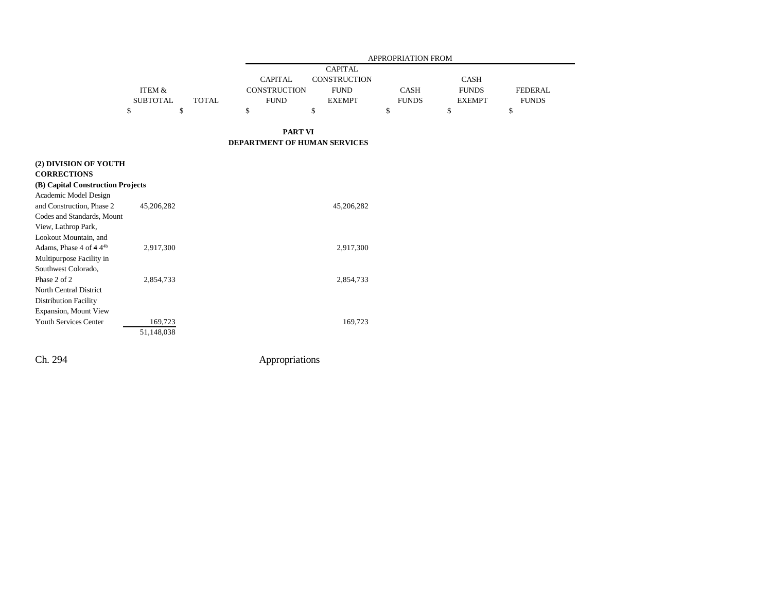|                 |       | <b>APPROPRIATION FROM</b> |                |              |               |                |
|-----------------|-------|---------------------------|----------------|--------------|---------------|----------------|
|                 |       |                           | <b>CAPITAL</b> |              |               |                |
|                 |       | <b>CAPITAL</b>            | CONSTRUCTION   |              | <b>CASH</b>   |                |
| ITEM &          |       | CONSTRUCTION              | <b>FUND</b>    | CASH         | <b>FUNDS</b>  | <b>FEDERAL</b> |
| <b>SUBTOTAL</b> | TOTAL | <b>FUND</b>               | <b>EXEMPT</b>  | <b>FUNDS</b> | <b>EXEMPT</b> | <b>FUNDS</b>   |
|                 |       |                           |                |              |               |                |

#### **PART VI DEPARTMENT OF HUMAN SERVICES**

| (2) DIVISION OF YOUTH             |            |            |
|-----------------------------------|------------|------------|
| <b>CORRECTIONS</b>                |            |            |
| (B) Capital Construction Projects |            |            |
| Academic Model Design             |            |            |
| and Construction, Phase 2         | 45,206,282 | 45,206,282 |
| Codes and Standards, Mount        |            |            |
| View, Lathrop Park,               |            |            |
| Lookout Mountain, and             |            |            |
| Adams. Phase 4 of $4.44b$         | 2,917,300  | 2,917,300  |
| Multipurpose Facility in          |            |            |
| Southwest Colorado,               |            |            |
| Phase 2 of 2                      | 2,854,733  | 2,854,733  |
| North Central District            |            |            |
| <b>Distribution Facility</b>      |            |            |
| <b>Expansion, Mount View</b>      |            |            |
| <b>Youth Services Center</b>      | 169,723    | 169,723    |
|                                   | 51.148.038 |            |

Ch. 294 Appropriations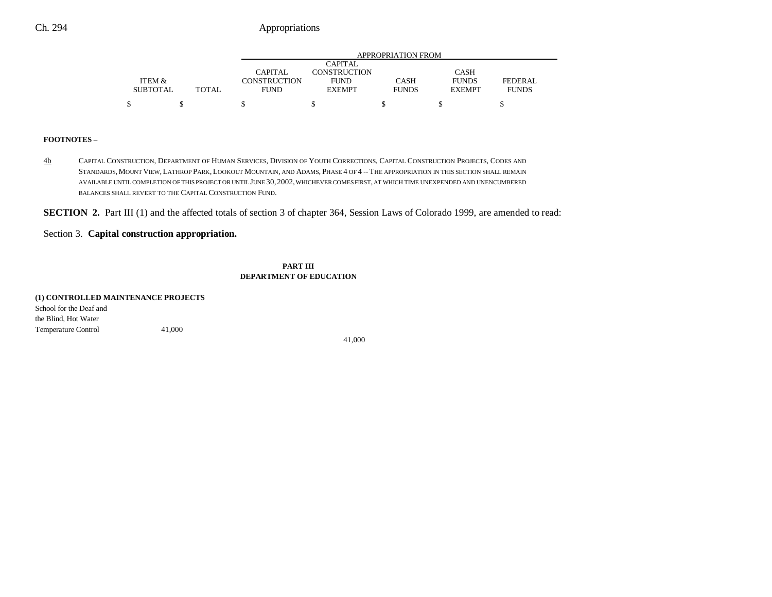## Ch. 294 Appropriations

|                 |       | APPROPRIATION FROM |                     |              |               |                |
|-----------------|-------|--------------------|---------------------|--------------|---------------|----------------|
|                 |       |                    | <b>CAPITAL</b>      |              |               |                |
|                 |       | <b>CAPITAL</b>     | <b>CONSTRUCTION</b> |              | <b>CASH</b>   |                |
| ITEM &          |       | CONSTRUCTION       | <b>FUND</b>         | CASH         | <b>FUNDS</b>  | <b>FEDERAL</b> |
| <b>SUBTOTAL</b> | TOTAL | <b>FUND</b>        | <b>EXEMPT</b>       | <b>FUNDS</b> | <b>EXEMPT</b> | <b>FUNDS</b>   |
|                 |       |                    |                     |              |               |                |
|                 |       |                    |                     |              |               |                |

#### **FOOTNOTES** –

4b CAPITAL CONSTRUCTION, DEPARTMENT OF HUMAN SERVICES, DIVISION OF YOUTH CORRECTIONS, CAPITAL CONSTRUCTION PROJECTS, CODES AND STANDARDS,MOUNT VIEW,LATHROP PARK,LOOKOUT MOUNTAIN, AND ADAMS, PHASE 4 OF 4 --THE APPROPRIATION IN THIS SECTION SHALL REMAIN AVAILABLE UNTIL COMPLETION OF THIS PROJECT OR UNTIL JUNE 30,2002, WHICHEVER COMES FIRST, AT WHICH TIME UNEXPENDED AND UNENCUMBERED BALANCES SHALL REVERT TO THE CAPITAL CONSTRUCTION FUND.

**SECTION 2.** Part III (1) and the affected totals of section 3 of chapter 364, Session Laws of Colorado 1999, are amended to read:

## Section 3. **Capital construction appropriation.**

**PART III DEPARTMENT OF EDUCATION**

| (1) CONTROLLED MAINTENANCE PROJECTS |        |  |
|-------------------------------------|--------|--|
| School for the Deaf and             |        |  |
| the Blind, Hot Water                |        |  |
| <b>Temperature Control</b>          | 41,000 |  |

41,000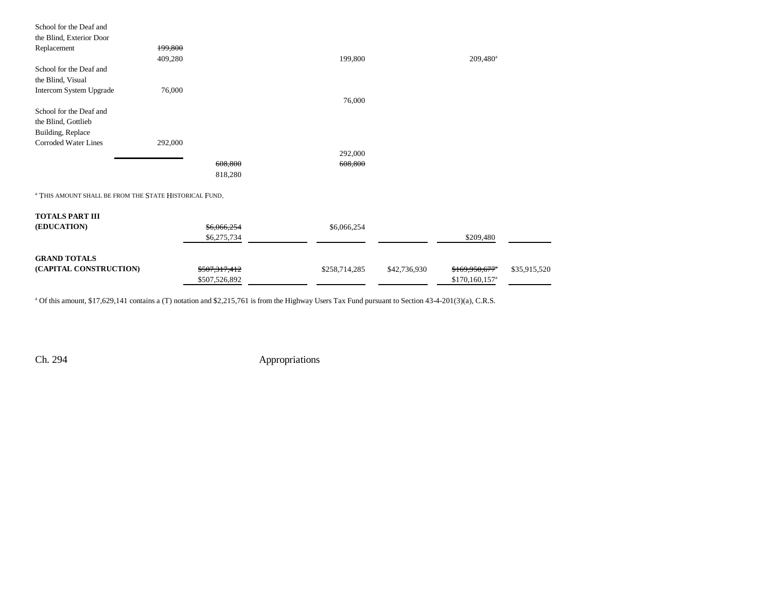| School for the Deaf and  |         |         |         |             |
|--------------------------|---------|---------|---------|-------------|
| the Blind, Exterior Door |         |         |         |             |
| Replacement              | 199,800 |         |         |             |
|                          | 409,280 |         | 199,800 | $209,480^a$ |
| School for the Deaf and  |         |         |         |             |
| the Blind, Visual        |         |         |         |             |
| Intercom System Upgrade  | 76,000  |         |         |             |
|                          |         |         | 76,000  |             |
| School for the Deaf and  |         |         |         |             |
| the Blind, Gottlieb      |         |         |         |             |
| Building, Replace        |         |         |         |             |
| Corroded Water Lines     | 292,000 |         |         |             |
|                          |         |         | 292,000 |             |
|                          |         | 608,800 | 608,800 |             |
|                          |         | 818,280 |         |             |
|                          |         |         |         |             |

a THIS AMOUNT SHALL BE FROM THE STATE HISTORICAL FUND.

| <b>TOTALS PART III</b><br>(EDUCATION) | \$6,066,254<br>\$6,275,734 | \$6,066,254   |              | \$209,480                   |              |
|---------------------------------------|----------------------------|---------------|--------------|-----------------------------|--------------|
| <b>GRAND TOTALS</b>                   |                            |               |              |                             |              |
| (CAPITAL CONSTRUCTION)                | \$507,317,412              | \$258,714,285 | \$42,736,930 | $$169,950,677$ <sup>*</sup> | \$35,915,520 |
|                                       | \$507,526,892              |               |              | $$170,160,157^{\circ}$      |              |

<sup>a</sup> Of this amount, \$17,629,141 contains a (T) notation and \$2,215,761 is from the Highway Users Tax Fund pursuant to Section 43-4-201(3)(a), C.R.S.

Ch. 294 Appropriations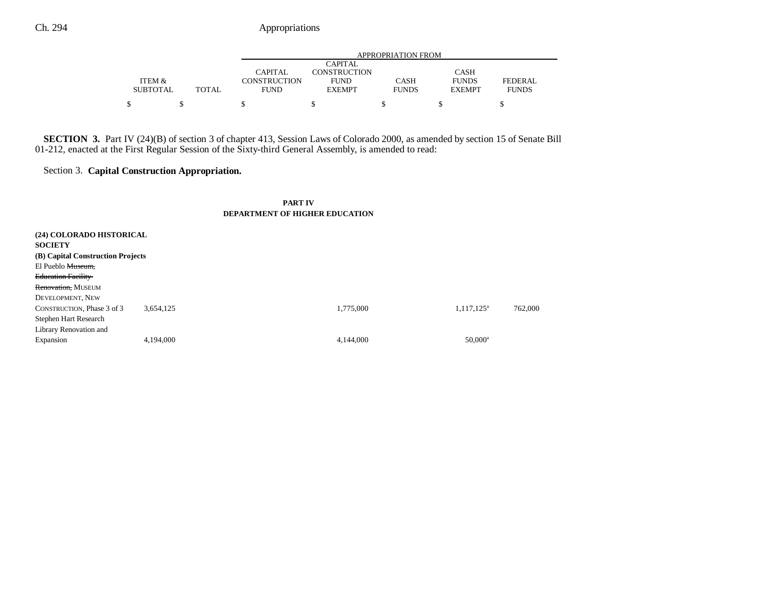|                 |              | APPROPRIATION FROM  |                |              |               |              |
|-----------------|--------------|---------------------|----------------|--------------|---------------|--------------|
|                 |              |                     | <b>CAPITAL</b> |              |               |              |
|                 |              | CAPITAL             | CONSTRUCTION   |              | <b>CASH</b>   |              |
| ITEM &          |              | <b>CONSTRUCTION</b> | <b>FUND</b>    | CASH         | <b>FUNDS</b>  | FEDERAL.     |
| <b>SUBTOTAL</b> | <b>TOTAL</b> | <b>FUND</b>         | <b>EXEMPT</b>  | <b>FUNDS</b> | <b>EXEMPT</b> | <b>FUNDS</b> |
|                 |              |                     |                |              |               |              |

**SECTION 3.** Part IV (24)(B) of section 3 of chapter 413, Session Laws of Colorado 2000, as amended by section 15 of Senate Bill 01-212, enacted at the First Regular Session of the Sixty-third General Assembly, is amended to read:

# Section 3. **Capital Construction Appropriation.**

#### **PART IV DEPARTMENT OF HIGHER EDUCATION**

| (24) COLORADO HISTORICAL          |           |           |                     |         |
|-----------------------------------|-----------|-----------|---------------------|---------|
| <b>SOCIETY</b>                    |           |           |                     |         |
| (B) Capital Construction Projects |           |           |                     |         |
| El Pueblo Museum,                 |           |           |                     |         |
| <b>Education Facility</b>         |           |           |                     |         |
| Renovation, MUSEUM                |           |           |                     |         |
| DEVELOPMENT, NEW                  |           |           |                     |         |
| CONSTRUCTION, Phase 3 of 3        | 3.654.125 | 1,775,000 | $1,117,125^{\rm a}$ | 762,000 |
| Stephen Hart Research             |           |           |                     |         |
| Library Renovation and            |           |           |                     |         |
| Expansion                         | 4,194,000 | 4,144,000 | $50,000^{\rm a}$    |         |